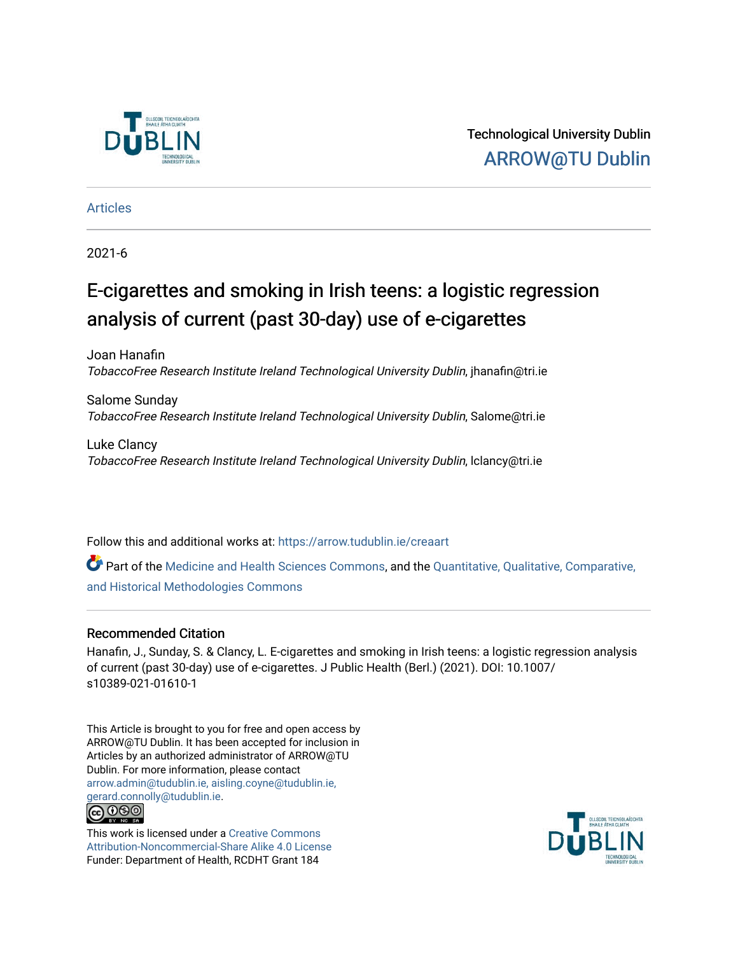

Technological University Dublin [ARROW@TU Dublin](https://arrow.tudublin.ie/) 

[Articles](https://arrow.tudublin.ie/creaart)

2021-6

# E-cigarettes and smoking in Irish teens: a logistic regression analysis of current (past 30-day) use of e-cigarettes

Joan Hanafin TobaccoFree Research Institute Ireland Technological University Dublin, jhanafin@tri.ie

Salome Sunday TobaccoFree Research Institute Ireland Technological University Dublin, Salome@tri.ie

Luke Clancy TobaccoFree Research Institute Ireland Technological University Dublin, lclancy@tri.ie

Follow this and additional works at: [https://arrow.tudublin.ie/creaart](https://arrow.tudublin.ie/creaart?utm_source=arrow.tudublin.ie%2Fcreaart%2F52&utm_medium=PDF&utm_campaign=PDFCoverPages) 

Part of the [Medicine and Health Sciences Commons,](http://network.bepress.com/hgg/discipline/648?utm_source=arrow.tudublin.ie%2Fcreaart%2F52&utm_medium=PDF&utm_campaign=PDFCoverPages) and the [Quantitative, Qualitative, Comparative,](http://network.bepress.com/hgg/discipline/423?utm_source=arrow.tudublin.ie%2Fcreaart%2F52&utm_medium=PDF&utm_campaign=PDFCoverPages)  [and Historical Methodologies Commons](http://network.bepress.com/hgg/discipline/423?utm_source=arrow.tudublin.ie%2Fcreaart%2F52&utm_medium=PDF&utm_campaign=PDFCoverPages)

# Recommended Citation

Hanafin, J., Sunday, S. & Clancy, L. E-cigarettes and smoking in Irish teens: a logistic regression analysis of current (past 30-day) use of e-cigarettes. J Public Health (Berl.) (2021). DOI: 10.1007/ s10389-021-01610-1

This Article is brought to you for free and open access by ARROW@TU Dublin. It has been accepted for inclusion in Articles by an authorized administrator of ARROW@TU Dublin. For more information, please contact [arrow.admin@tudublin.ie, aisling.coyne@tudublin.ie,](mailto:arrow.admin@tudublin.ie,%20aisling.coyne@tudublin.ie,%20gerard.connolly@tudublin.ie)  [gerard.connolly@tudublin.ie](mailto:arrow.admin@tudublin.ie,%20aisling.coyne@tudublin.ie,%20gerard.connolly@tudublin.ie). **@** 000

This work is licensed under a [Creative Commons](http://creativecommons.org/licenses/by-nc-sa/4.0/) [Attribution-Noncommercial-Share Alike 4.0 License](http://creativecommons.org/licenses/by-nc-sa/4.0/) Funder: Department of Health, RCDHT Grant 184

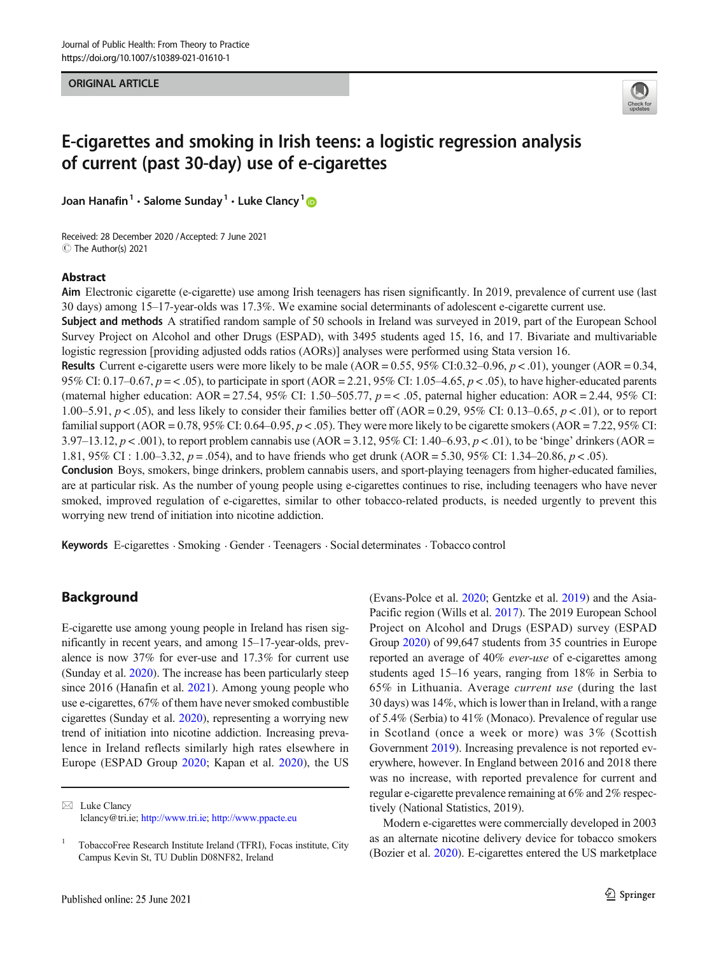#### ORIGINAL ARTICLE



# E-cigarettes and smoking in Irish teens: a logistic regression analysis of current (past 30-day) use of e-cigarettes

Joan Hanafin<sup>1</sup>  $\cdot$  Salome Sunday<sup>1</sup>  $\cdot$  Luke Clancy<sup>1</sup>

Received: 28 December 2020 /Accepted: 7 June 2021 C The Author(s) 2021

#### Abstract

Aim Electronic cigarette (e-cigarette) use among Irish teenagers has risen significantly. In 2019, prevalence of current use (last 30 days) among 15–17-year-olds was 17.3%. We examine social determinants of adolescent e-cigarette current use.

Subject and methods A stratified random sample of 50 schools in Ireland was surveyed in 2019, part of the European School Survey Project on Alcohol and other Drugs (ESPAD), with 3495 students aged 15, 16, and 17. Bivariate and multivariable logistic regression [providing adjusted odds ratios (AORs)] analyses were performed using Stata version 16.

**Results** Current e-cigarette users were more likely to be male (AOR = 0.55, 95% CI:0.32–0.96,  $p < .01$ ), younger (AOR = 0.34, 95% CI: 0.17–0.67,  $p = 0.5$ , to participate in sport (AOR = 2.21, 95% CI: 1.05–4.65,  $p < 0.05$ ), to have higher-educated parents (maternal higher education: AOR = 27.54, 95% CI: 1.50–505.77,  $p = < .05$ , paternal higher education: AOR = 2.44, 95% CI: 1.00–5.91,  $p < .05$ ), and less likely to consider their families better off (AOR = 0.29, 95% CI: 0.13–0.65,  $p < .01$ ), or to report familial support (AOR =  $0.78$ ,  $95\%$  CI:  $0.64-0.95$ ,  $p < .05$ ). They were more likely to be cigarette smokers (AOR =  $7.22$ ,  $95\%$  CI: 3.97–13.12,  $p < .001$ ), to report problem cannabis use  $(AOR = 3.12, 95\%$  CI: 1.40–6.93,  $p < .01$ ), to be 'binge' drinkers  $(AOR = 3.12, 95\%$ 1.81, 95% CI : 1.00–3.32,  $p = .054$ ), and to have friends who get drunk (AOR = 5.30, 95% CI: 1.34–20.86,  $p < .05$ ).

Conclusion Boys, smokers, binge drinkers, problem cannabis users, and sport-playing teenagers from higher-educated families, are at particular risk. As the number of young people using e-cigarettes continues to rise, including teenagers who have never smoked, improved regulation of e-cigarettes, similar to other tobacco-related products, is needed urgently to prevent this worrying new trend of initiation into nicotine addiction.

Keywords E-cigarettes . Smoking . Gender . Teenagers . Social determinates . Tobacco control

# Background

E-cigarette use among young people in Ireland has risen significantly in recent years, and among 15–17-year-olds, prevalence is now 37% for ever-use and 17.3% for current use (Sunday et al. [2020\)](#page-12-0). The increase has been particularly steep since 2016 (Hanafin et al. [2021](#page-12-0)). Among young people who use e-cigarettes, 67% of them have never smoked combustible cigarettes (Sunday et al. [2020\)](#page-12-0), representing a worrying new trend of initiation into nicotine addiction. Increasing prevalence in Ireland reflects similarly high rates elsewhere in Europe (ESPAD Group [2020;](#page-12-0) Kapan et al. [2020](#page-12-0)), the US (Evans-Polce et al. [2020](#page-11-0); Gentzke et al. [2019](#page-11-0)) and the Asia-Pacific region (Wills et al. [2017\)](#page-12-0). The 2019 European School Project on Alcohol and Drugs (ESPAD) survey (ESPAD Group [2020](#page-12-0)) of 99,647 students from 35 countries in Europe reported an average of 40% ever-use of e-cigarettes among students aged 15–16 years, ranging from 18% in Serbia to 65% in Lithuania. Average current use (during the last 30 days) was 14%, which is lower than in Ireland, with a range of 5.4% (Serbia) to 41% (Monaco). Prevalence of regular use in Scotland (once a week or more) was 3% (Scottish Government [2019](#page-12-0)). Increasing prevalence is not reported everywhere, however. In England between 2016 and 2018 there was no increase, with reported prevalence for current and regular e-cigarette prevalence remaining at 6% and 2% respectively (National Statistics, 2019).

Modern e-cigarettes were commercially developed in 2003 as an alternate nicotine delivery device for tobacco smokers (Bozier et al. [2020](#page-11-0)). E-cigarettes entered the US marketplace

 $\boxtimes$  Luke Clancy [lclancy@tri.ie](mailto:lclancy@tri.ie); http://www.tri.ie; http://www.ppacte.eu

<sup>&</sup>lt;sup>1</sup> TobaccoFree Research Institute Ireland (TFRI), Focas institute, City Campus Kevin St, TU Dublin D08NF82, Ireland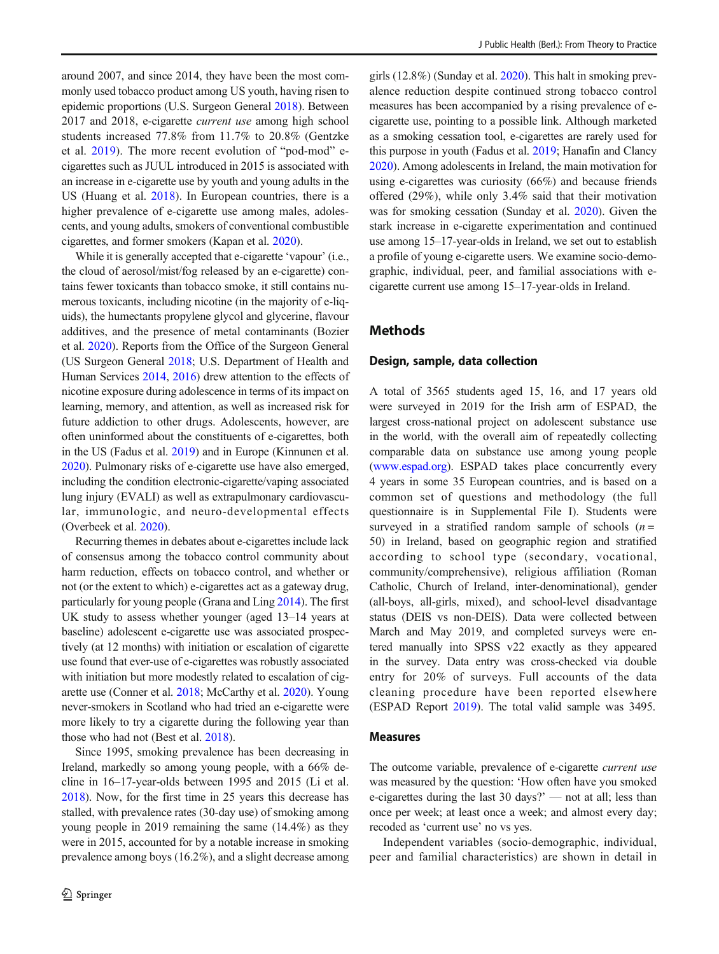around 2007, and since 2014, they have been the most commonly used tobacco product among US youth, having risen to epidemic proportions (U.S. Surgeon General [2018\)](#page-12-0). Between 2017 and 2018, e-cigarette current use among high school students increased 77.8% from 11.7% to 20.8% (Gentzke et al. [2019](#page-11-0)). The more recent evolution of "pod-mod" ecigarettes such as JUUL introduced in 2015 is associated with an increase in e-cigarette use by youth and young adults in the US (Huang et al. [2018](#page-12-0)). In European countries, there is a higher prevalence of e-cigarette use among males, adolescents, and young adults, smokers of conventional combustible cigarettes, and former smokers (Kapan et al. [2020\)](#page-12-0).

While it is generally accepted that e-cigarette 'vapour' (i.e., the cloud of aerosol/mist/fog released by an e-cigarette) contains fewer toxicants than tobacco smoke, it still contains numerous toxicants, including nicotine (in the majority of e-liquids), the humectants propylene glycol and glycerine, flavour additives, and the presence of metal contaminants (Bozier et al. [2020\)](#page-11-0). Reports from the Office of the Surgeon General (US Surgeon General [2018](#page-12-0); U.S. Department of Health and Human Services [2014,](#page-12-0) [2016\)](#page-12-0) drew attention to the effects of nicotine exposure during adolescence in terms of its impact on learning, memory, and attention, as well as increased risk for future addiction to other drugs. Adolescents, however, are often uninformed about the constituents of e-cigarettes, both in the US (Fadus et al. [2019\)](#page-11-0) and in Europe (Kinnunen et al. [2020\)](#page-12-0). Pulmonary risks of e-cigarette use have also emerged, including the condition electronic-cigarette/vaping associated lung injury (EVALI) as well as extrapulmonary cardiovascular, immunologic, and neuro-developmental effects (Overbeek et al. [2020\)](#page-12-0).

Recurring themes in debates about e-cigarettes include lack of consensus among the tobacco control community about harm reduction, effects on tobacco control, and whether or not (or the extent to which) e-cigarettes act as a gateway drug, particularly for young people (Grana and Ling [2014](#page-11-0)). The first UK study to assess whether younger (aged 13–14 years at baseline) adolescent e-cigarette use was associated prospectively (at 12 months) with initiation or escalation of cigarette use found that ever-use of e-cigarettes was robustly associated with initiation but more modestly related to escalation of cigarette use (Conner et al. [2018;](#page-11-0) McCarthy et al. [2020](#page-12-0)). Young never-smokers in Scotland who had tried an e-cigarette were more likely to try a cigarette during the following year than those who had not (Best et al. [2018\)](#page-11-0).

Since 1995, smoking prevalence has been decreasing in Ireland, markedly so among young people, with a 66% decline in 16–17-year-olds between 1995 and 2015 (Li et al. [2018\)](#page-12-0). Now, for the first time in 25 years this decrease has stalled, with prevalence rates (30-day use) of smoking among young people in 2019 remaining the same (14.4%) as they were in 2015, accounted for by a notable increase in smoking prevalence among boys (16.2%), and a slight decrease among girls (12.8%) (Sunday et al. [2020](#page-12-0)). This halt in smoking prevalence reduction despite continued strong tobacco control measures has been accompanied by a rising prevalence of ecigarette use, pointing to a possible link. Although marketed as a smoking cessation tool, e-cigarettes are rarely used for this purpose in youth (Fadus et al. [2019;](#page-11-0) Hanafin and Clancy [2020\)](#page-12-0). Among adolescents in Ireland, the main motivation for using e-cigarettes was curiosity (66%) and because friends offered (29%), while only 3.4% said that their motivation was for smoking cessation (Sunday et al. [2020\)](#page-12-0). Given the stark increase in e-cigarette experimentation and continued use among 15–17-year-olds in Ireland, we set out to establish a profile of young e-cigarette users. We examine socio-demographic, individual, peer, and familial associations with ecigarette current use among 15–17-year-olds in Ireland.

### Methods

#### Design, sample, data collection

A total of 3565 students aged 15, 16, and 17 years old were surveyed in 2019 for the Irish arm of ESPAD, the largest cross-national project on adolescent substance use in the world, with the overall aim of repeatedly collecting comparable data on substance use among young people [\(www.espad.org](http://www.espad.org)). ESPAD takes place concurrently every 4 years in some 35 European countries, and is based on a common set of questions and methodology (the full questionnaire is in Supplemental File I). Students were surveyed in a stratified random sample of schools  $(n =$ 50) in Ireland, based on geographic region and stratified according to school type (secondary, vocational, community/comprehensive), religious affiliation (Roman Catholic, Church of Ireland, inter-denominational), gender (all-boys, all-girls, mixed), and school-level disadvantage status (DEIS vs non-DEIS). Data were collected between March and May 2019, and completed surveys were entered manually into SPSS v22 exactly as they appeared in the survey. Data entry was cross-checked via double entry for 20% of surveys. Full accounts of the data cleaning procedure have been reported elsewhere (ESPAD Report [2019](#page-11-0)). The total valid sample was 3495.

#### Measures

The outcome variable, prevalence of e-cigarette *current use* was measured by the question: 'How often have you smoked e-cigarettes during the last 30 days?' — not at all; less than once per week; at least once a week; and almost every day; recoded as 'current use' no vs yes.

Independent variables (socio-demographic, individual, peer and familial characteristics) are shown in detail in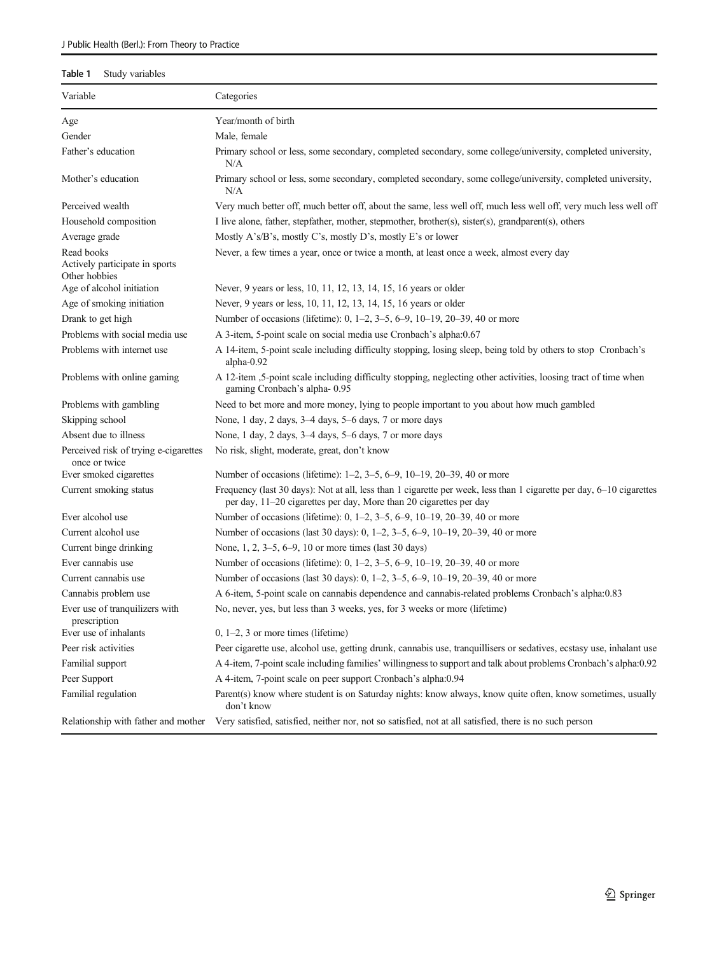# <span id="page-3-0"></span>Table 1 Study variables

| Variable                                                      | Categories                                                                                                                                                                                 |
|---------------------------------------------------------------|--------------------------------------------------------------------------------------------------------------------------------------------------------------------------------------------|
| Age                                                           | Year/month of birth                                                                                                                                                                        |
| Gender                                                        | Male, female                                                                                                                                                                               |
| Father's education                                            | Primary school or less, some secondary, completed secondary, some college/university, completed university,<br>N/A                                                                         |
| Mother's education                                            | Primary school or less, some secondary, completed secondary, some college/university, completed university,<br>N/A                                                                         |
| Perceived wealth                                              | Very much better off, much better off, about the same, less well off, much less well off, very much less well off                                                                          |
| Household composition                                         | I live alone, father, stepfather, mother, stepmother, brother(s), sister(s), grandparent(s), others                                                                                        |
| Average grade                                                 | Mostly A's/B's, mostly C's, mostly D's, mostly E's or lower                                                                                                                                |
| Read books<br>Actively participate in sports<br>Other hobbies | Never, a few times a year, once or twice a month, at least once a week, almost every day                                                                                                   |
| Age of alcohol initiation                                     | Never, 9 years or less, 10, 11, 12, 13, 14, 15, 16 years or older                                                                                                                          |
| Age of smoking initiation                                     | Never, 9 years or less, 10, 11, 12, 13, 14, 15, 16 years or older                                                                                                                          |
| Drank to get high                                             | Number of occasions (lifetime): 0, 1–2, 3–5, 6–9, 10–19, 20–39, 40 or more                                                                                                                 |
| Problems with social media use                                | A 3-item, 5-point scale on social media use Cronbach's alpha:0.67                                                                                                                          |
| Problems with internet use                                    | A 14-item, 5-point scale including difficulty stopping, losing sleep, being told by others to stop Cronbach's<br>alpha $-0.92$                                                             |
| Problems with online gaming                                   | A 12-item ,5-point scale including difficulty stopping, neglecting other activities, loosing tract of time when<br>gaming Cronbach's alpha-0.95                                            |
| Problems with gambling                                        | Need to bet more and more money, lying to people important to you about how much gambled                                                                                                   |
| Skipping school                                               | None, 1 day, 2 days, 3-4 days, 5-6 days, 7 or more days                                                                                                                                    |
| Absent due to illness                                         | None, 1 day, 2 days, 3-4 days, 5-6 days, 7 or more days                                                                                                                                    |
| Perceived risk of trying e-cigarettes                         | No risk, slight, moderate, great, don't know                                                                                                                                               |
| once or twice<br>Ever smoked cigarettes                       | Number of occasions (lifetime): 1–2, 3–5, 6–9, 10–19, 20–39, 40 or more                                                                                                                    |
| Current smoking status                                        | Frequency (last 30 days): Not at all, less than 1 cigarette per week, less than 1 cigarette per day, 6–10 cigarettes<br>per day, 11-20 cigarettes per day, More than 20 cigarettes per day |
| Ever alcohol use                                              | Number of occasions (lifetime): 0, 1–2, 3–5, 6–9, 10–19, 20–39, 40 or more                                                                                                                 |
| Current alcohol use                                           | Number of occasions (last 30 days): 0, 1–2, 3–5, 6–9, 10–19, 20–39, 40 or more                                                                                                             |
| Current binge drinking                                        | None, 1, 2, 3–5, 6–9, 10 or more times (last 30 days)                                                                                                                                      |
| Ever cannabis use                                             | Number of occasions (lifetime): 0, 1–2, 3–5, 6–9, 10–19, 20–39, 40 or more                                                                                                                 |
| Current cannabis use                                          | Number of occasions (last 30 days): 0, 1–2, 3–5, 6–9, 10–19, 20–39, 40 or more                                                                                                             |
| Cannabis problem use                                          | A 6-item, 5-point scale on cannabis dependence and cannabis-related problems Cronbach's alpha:0.83                                                                                         |
| Ever use of tranquilizers with<br>prescription                | No, never, yes, but less than 3 weeks, yes, for 3 weeks or more (lifetime)                                                                                                                 |
| Ever use of inhalants                                         | $0, 1-2, 3$ or more times (lifetime)                                                                                                                                                       |
| Peer risk activities                                          | Peer cigarette use, alcohol use, getting drunk, cannabis use, tranquillisers or sedatives, ecstasy use, inhalant use                                                                       |
| Familial support                                              | A 4-item, 7-point scale including families' willingness to support and talk about problems Cronbach's alpha:0.92                                                                           |
| Peer Support                                                  | A 4-item, 7-point scale on peer support Cronbach's alpha:0.94                                                                                                                              |
| Familial regulation                                           | Parent(s) know where student is on Saturday nights: know always, know quite often, know sometimes, usually<br>don't know                                                                   |
|                                                               | Relationship with father and mother Very satisfied, satisfied, neither nor, not so satisfied, not at all satisfied, there is no such person                                                |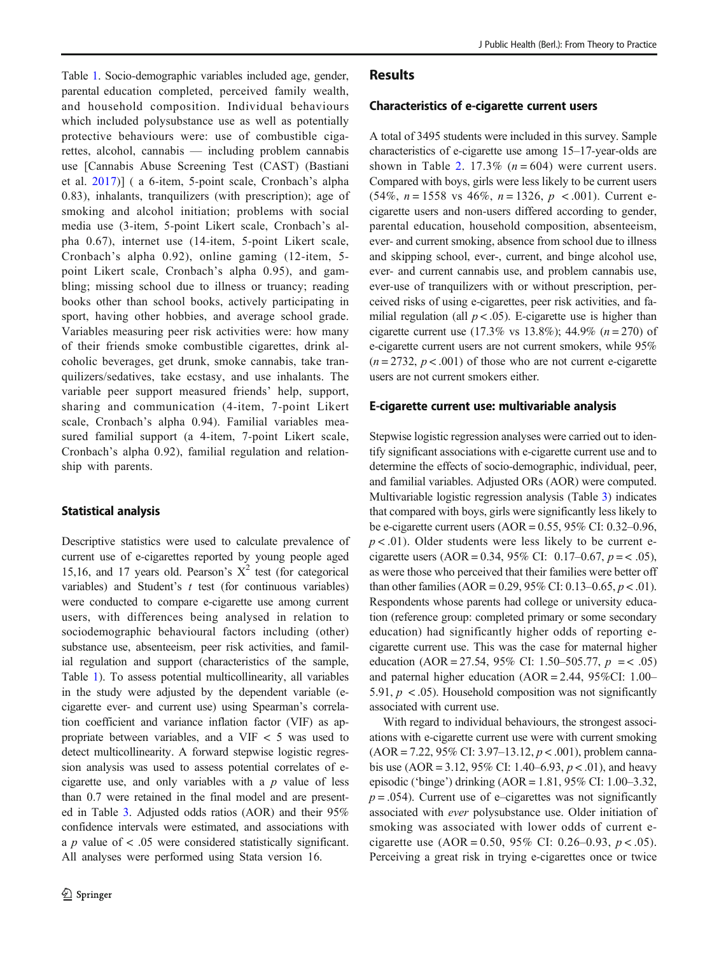Table [1](#page-3-0). Socio-demographic variables included age, gender, parental education completed, perceived family wealth, and household composition. Individual behaviours which included polysubstance use as well as potentially protective behaviours were: use of combustible cigarettes, alcohol, cannabis — including problem cannabis use [Cannabis Abuse Screening Test (CAST) (Bastiani et al. [2017\)](#page-11-0)] ( a 6-item, 5-point scale, Cronbach's alpha 0.83), inhalants, tranquilizers (with prescription); age of smoking and alcohol initiation; problems with social media use (3-item, 5-point Likert scale, Cronbach's alpha 0.67), internet use (14-item, 5-point Likert scale, Cronbach's alpha 0.92), online gaming (12-item, 5 point Likert scale, Cronbach's alpha 0.95), and gambling; missing school due to illness or truancy; reading books other than school books, actively participating in sport, having other hobbies, and average school grade. Variables measuring peer risk activities were: how many of their friends smoke combustible cigarettes, drink alcoholic beverages, get drunk, smoke cannabis, take tranquilizers/sedatives, take ecstasy, and use inhalants. The variable peer support measured friends' help, support, sharing and communication (4-item, 7-point Likert scale, Cronbach's alpha 0.94). Familial variables measured familial support (a 4-item, 7-point Likert scale, Cronbach's alpha 0.92), familial regulation and relationship with parents.

# Statistical analysis

Descriptive statistics were used to calculate prevalence of current use of e-cigarettes reported by young people aged 15,16, and 17 years old. Pearson's  $X^2$  test (for categorical variables) and Student's  $t$  test (for continuous variables) were conducted to compare e-cigarette use among current users, with differences being analysed in relation to sociodemographic behavioural factors including (other) substance use, absenteeism, peer risk activities, and familial regulation and support (characteristics of the sample, Table [1\)](#page-3-0). To assess potential multicollinearity, all variables in the study were adjusted by the dependent variable (ecigarette ever- and current use) using Spearman's correlation coefficient and variance inflation factor (VIF) as appropriate between variables, and a  $VIF < 5$  was used to detect multicollinearity. A forward stepwise logistic regression analysis was used to assess potential correlates of ecigarette use, and only variables with a  $p$  value of less than 0.7 were retained in the final model and are presented in Table [3.](#page-8-0) Adjusted odds ratios (AOR) and their 95% confidence intervals were estimated, and associations with a  $p$  value of  $\lt$  .05 were considered statistically significant. All analyses were performed using Stata version 16.

#### Results

#### Characteristics of e-cigarette current users

A total of 3495 students were included in this survey. Sample characteristics of e-cigarette use among 15–17-year-olds are shown in Table [2.](#page-5-0) 17.3% ( $n = 604$ ) were current users. Compared with boys, girls were less likely to be current users  $(54\%, n = 1558 \text{ vs } 46\%, n = 1326, p < .001)$ . Current ecigarette users and non-users differed according to gender, parental education, household composition, absenteeism, ever- and current smoking, absence from school due to illness and skipping school, ever-, current, and binge alcohol use, ever- and current cannabis use, and problem cannabis use, ever-use of tranquilizers with or without prescription, perceived risks of using e-cigarettes, peer risk activities, and familial regulation (all  $p < .05$ ). E-cigarette use is higher than cigarette current use (17.3% vs 13.8%); 44.9% ( $n = 270$ ) of e-cigarette current users are not current smokers, while 95%  $(n = 2732, p < .001)$  of those who are not current e-cigarette users are not current smokers either.

#### E-cigarette current use: multivariable analysis

Stepwise logistic regression analyses were carried out to identify significant associations with e-cigarette current use and to determine the effects of socio-demographic, individual, peer, and familial variables. Adjusted ORs (AOR) were computed. Multivariable logistic regression analysis (Table [3\)](#page-8-0) indicates that compared with boys, girls were significantly less likely to be e-cigarette current users (AOR = 0.55, 95% CI: 0.32–0.96,  $p < .01$ ). Older students were less likely to be current ecigarette users (AOR = 0.34, 95% CI: 0.17–0.67,  $p = < .05$ ), as were those who perceived that their families were better off than other families (AOR = 0.29, 95% CI: 0.13–0.65,  $p < .01$ ). Respondents whose parents had college or university education (reference group: completed primary or some secondary education) had significantly higher odds of reporting ecigarette current use. This was the case for maternal higher education (AOR = 27.54, 95% CI: 1.50–505.77,  $p = < .05$ ) and paternal higher education (AOR = 2.44, 95%CI: 1.00– 5.91,  $p < .05$ ). Household composition was not significantly associated with current use.

With regard to individual behaviours, the strongest associations with e-cigarette current use were with current smoking (AOR = 7.22, 95% CI: 3.97–13.12, p < .001), problem cannabis use (AOR = 3.12, 95% CI: 1.40–6.93,  $p < .01$ ), and heavy episodic ('binge') drinking (AOR = 1.81, 95% CI: 1.00–3.32,  $p = .054$ ). Current use of e–cigarettes was not significantly associated with ever polysubstance use. Older initiation of smoking was associated with lower odds of current ecigarette use  $(AOR = 0.50, 95\% \text{ CI: } 0.26-0.93, p < .05)$ . Perceiving a great risk in trying e-cigarettes once or twice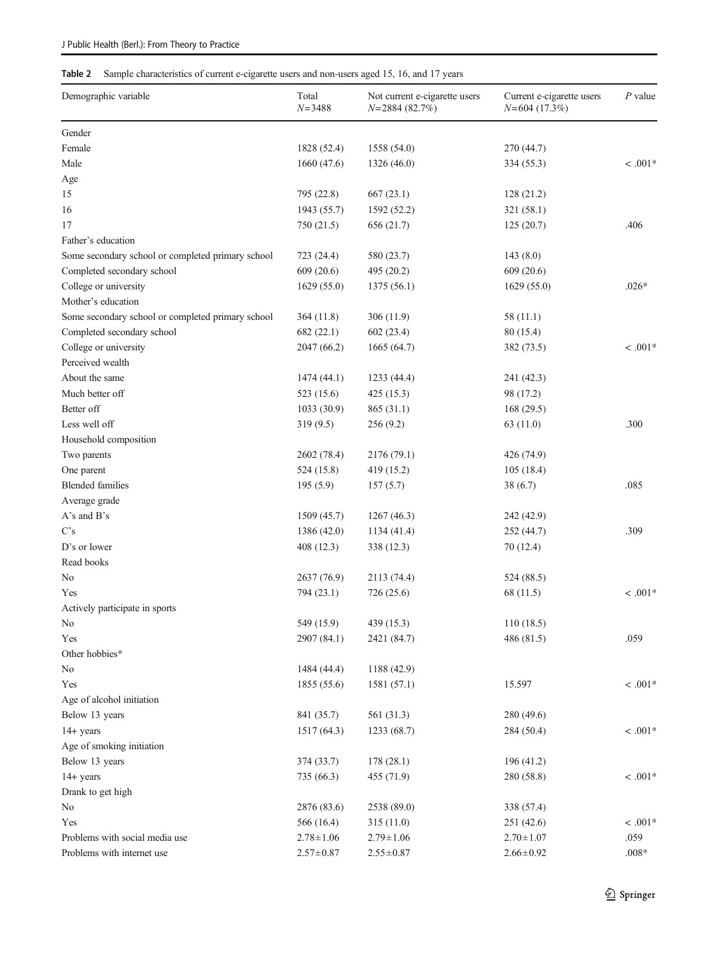# <span id="page-5-0"></span>Table 2 Sample characteristics of current e-cigarette users and non-users aged 15, 16, and 17 years

| Demographic variable                              | Total<br>$N = 3488$ | Not current e-cigarette users<br>$N=2884(82.7%)$ | Current e-cigarette users<br>$N=604(17.3\%)$ | $P$ value |
|---------------------------------------------------|---------------------|--------------------------------------------------|----------------------------------------------|-----------|
| Gender                                            |                     |                                                  |                                              |           |
| Female                                            | 1828 (52.4)         | 1558 (54.0)                                      | 270 (44.7)                                   |           |
| Male                                              | 1660 (47.6)         | 1326 (46.0)                                      | 334 (55.3)                                   | $< .001*$ |
| Age                                               |                     |                                                  |                                              |           |
| 15                                                | 795 (22.8)          | 667(23.1)                                        | 128(21.2)                                    |           |
| 16                                                | 1943 (55.7)         | 1592 (52.2)                                      | 321 (58.1)                                   |           |
| 17                                                | 750 (21.5)          | 656 (21.7)                                       | 125(20.7)                                    | .406      |
| Father's education                                |                     |                                                  |                                              |           |
| Some secondary school or completed primary school | 723 (24.4)          | 580 (23.7)                                       | 143(8.0)                                     |           |
| Completed secondary school                        | 609 (20.6)          | 495 (20.2)                                       | 609 (20.6)                                   |           |
| College or university                             | 1629(55.0)          | 1375 (56.1)                                      | 1629 (55.0)                                  | $.026*$   |
| Mother's education                                |                     |                                                  |                                              |           |
|                                                   |                     |                                                  |                                              |           |
| Some secondary school or completed primary school | 364(11.8)           | 306(11.9)                                        | 58 (11.1)                                    |           |
| Completed secondary school                        | 682 (22.1)          | 602 (23.4)                                       | 80 (15.4)                                    |           |
| College or university                             | 2047 (66.2)         | 1665 (64.7)                                      | 382 (73.5)                                   | $<.001*$  |
| Perceived wealth                                  |                     |                                                  |                                              |           |
| About the same                                    | 1474(44.1)          | 1233(44.4)                                       | 241 (42.3)                                   |           |
| Much better off                                   | 523 (15.6)          | 425(15.3)                                        | 98 (17.2)                                    |           |
| Better off                                        | 1033(30.9)          | 865 (31.1)                                       | 168 (29.5)                                   |           |
| Less well off                                     | 319(9.5)            | 256(9.2)                                         | 63 (11.0)                                    | .300      |
| Household composition                             |                     |                                                  |                                              |           |
| Two parents                                       | 2602 (78.4)         | 2176 (79.1)                                      | 426 (74.9)                                   |           |
| One parent                                        | 524 (15.8)          | 419 (15.2)                                       | 105(18.4)                                    |           |
| <b>Blended</b> families                           | 195(5.9)            | 157(5.7)                                         | 38(6.7)                                      | .085      |
| Average grade                                     |                     |                                                  |                                              |           |
| A's and B's                                       | 1509 (45.7)         | 1267(46.3)                                       | 242 (42.9)                                   |           |
| C's                                               | 1386 (42.0)         | 1134(41.4)                                       | 252 (44.7)                                   | .309      |
| D's or lower                                      | 408 (12.3)          | 338 (12.3)                                       | 70(12.4)                                     |           |
| Read books                                        |                     |                                                  |                                              |           |
| No                                                | 2637 (76.9)         | 2113 (74.4)                                      | 524 (88.5)                                   |           |
| Yes                                               | 794 (23.1)          | 726 (25.6)                                       | 68 (11.5)                                    | $< .001*$ |
| Actively participate in sports                    |                     |                                                  |                                              |           |
| No                                                | 549 (15.9)          | 439 (15.3)                                       | 110 (18.5)                                   |           |
| Yes                                               | 2907 (84.1)         | 2421 (84.7)                                      | 486 (81.5)                                   | .059      |
| Other hobbies*                                    |                     |                                                  |                                              |           |
| No                                                | 1484 (44.4)         | 1188 (42.9)                                      |                                              |           |
| Yes                                               | 1855 (55.6)         | 1581 (57.1)                                      | 15.597                                       | $<.001*$  |
| Age of alcohol initiation                         |                     |                                                  |                                              |           |
| Below 13 years                                    | 841 (35.7)          | 561 (31.3)                                       | 280 (49.6)                                   |           |
| $14+ years$                                       | 1517 (64.3)         | 1233 (68.7)                                      | 284 (50.4)                                   | $<.001*$  |
| Age of smoking initiation                         |                     |                                                  |                                              |           |
| Below 13 years                                    | 374 (33.7)          | 178 (28.1)                                       | 196 (41.2)                                   |           |
| $14+$ years                                       | 735 (66.3)          | 455 (71.9)                                       | 280 (58.8)                                   | $<.001*$  |
| Drank to get high                                 |                     |                                                  |                                              |           |
| No                                                | 2876 (83.6)         | 2538 (89.0)                                      |                                              |           |
|                                                   |                     |                                                  | 338 (57.4)                                   | $< .001*$ |
| Yes                                               | 566 (16.4)          | 315(11.0)                                        | 251 (42.6)                                   | .059      |
| Problems with social media use                    | $2.78 \pm 1.06$     | $2.79 \pm 1.06$                                  | $2.70 \pm 1.07$                              |           |
| Problems with internet use                        | $2.57 + 0.87$       | $2.55 \pm 0.87$                                  | $2.66 \pm 0.92$                              | $.008*$   |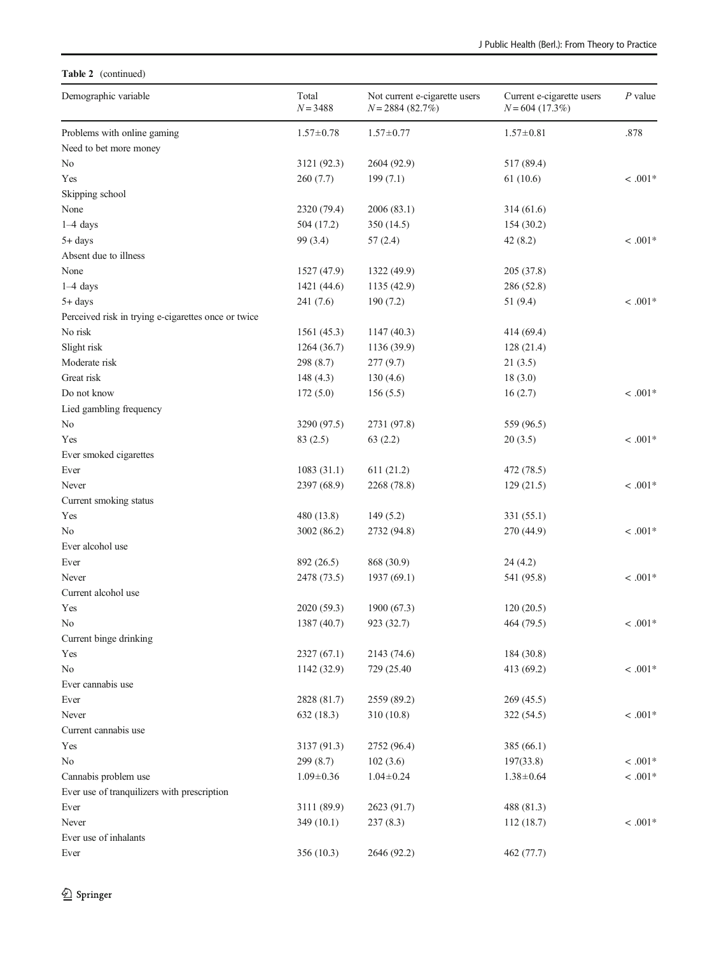### Table 2 (continued)

| Demographic variable                                | Total<br>$N = 3488$ | Not current e-cigarette users<br>$N = 2884(82.7%)$ | Current e-cigarette users<br>$N = 604(17.3\%)$ | $P$ value |
|-----------------------------------------------------|---------------------|----------------------------------------------------|------------------------------------------------|-----------|
| Problems with online gaming                         | $1.57 \pm 0.78$     | $1.57 \pm 0.77$                                    | $1.57 \pm 0.81$                                | .878      |
| Need to bet more money                              |                     |                                                    |                                                |           |
| No                                                  | 3121 (92.3)         | 2604 (92.9)                                        | 517 (89.4)                                     |           |
| Yes                                                 | 260 (7.7)           | 199(7.1)                                           | 61(10.6)                                       | $< .001*$ |
| Skipping school                                     |                     |                                                    |                                                |           |
| None                                                | 2320 (79.4)         | 2006 (83.1)                                        | 314(61.6)                                      |           |
| $1-4$ days                                          | 504 (17.2)          | 350 (14.5)                                         | 154(30.2)                                      |           |
| $5 + days$                                          | 99 (3.4)            | 57(2.4)                                            | 42(8.2)                                        | $< .001*$ |
| Absent due to illness                               |                     |                                                    |                                                |           |
| None                                                | 1527 (47.9)         | 1322 (49.9)                                        | 205 (37.8)                                     |           |
| $1-4$ days                                          | 1421 (44.6)         | 1135 (42.9)                                        | 286 (52.8)                                     |           |
| 5+ days                                             | 241 (7.6)           | 190(7.2)                                           | 51(9.4)                                        | $< .001*$ |
| Perceived risk in trying e-cigarettes once or twice |                     |                                                    |                                                |           |
| No risk                                             | 1561(45.3)          | 1147(40.3)                                         | 414 (69.4)                                     |           |
| Slight risk                                         | 1264 (36.7)         | 1136 (39.9)                                        | 128 (21.4)                                     |           |
| Moderate risk                                       | 298 (8.7)           | 277(9.7)                                           | 21(3.5)                                        |           |
| Great risk                                          | 148(4.3)            | 130(4.6)                                           | 18(3.0)                                        |           |
| Do not know                                         | 172(5.0)            | 156(5.5)                                           | 16(2.7)                                        | $< .001*$ |
| Lied gambling frequency                             |                     |                                                    |                                                |           |
| No                                                  | 3290 (97.5)         | 2731 (97.8)                                        | 559 (96.5)                                     |           |
| Yes                                                 | 83(2.5)             | 63(2.2)                                            | 20(3.5)                                        | $< .001*$ |
| Ever smoked cigarettes                              |                     |                                                    |                                                |           |
| Ever                                                | 1083(31.1)          | 611 (21.2)                                         | 472 (78.5)                                     |           |
| Never                                               | 2397 (68.9)         | 2268 (78.8)                                        | 129(21.5)                                      | $< .001*$ |
| Current smoking status                              |                     |                                                    |                                                |           |
| Yes                                                 | 480 (13.8)          | 149(5.2)                                           | 331 (55.1)                                     |           |
| No                                                  | 3002 (86.2)         | 2732 (94.8)                                        | 270 (44.9)                                     | $< .001*$ |
| Ever alcohol use                                    |                     |                                                    |                                                |           |
| Ever                                                | 892 (26.5)          | 868 (30.9)                                         | 24(4.2)                                        |           |
| Never                                               | 2478 (73.5)         | 1937 (69.1)                                        | 541 (95.8)                                     | $< .001*$ |
| Current alcohol use                                 |                     |                                                    |                                                |           |
| Yes                                                 | 2020 (59.3)         | 1900 (67.3)                                        | 120(20.5)                                      |           |
| No                                                  | 1387 (40.7)         | 923 (32.7)                                         | 464 (79.5)                                     | $< 0.01*$ |
| Current binge drinking                              |                     |                                                    |                                                |           |
| Yes                                                 | 2327 (67.1)         | 2143 (74.6)                                        | 184 (30.8)                                     |           |
| No                                                  | 1142 (32.9)         | 729 (25.40)                                        | 413 (69.2)                                     | $<.001*$  |
| Ever cannabis use                                   |                     |                                                    |                                                |           |
| Ever                                                | 2828 (81.7)         | 2559 (89.2)                                        | 269 (45.5)                                     |           |
| Never                                               | 632(18.3)           | 310 (10.8)                                         | 322 (54.5)                                     | $<.001*$  |
| Current cannabis use                                |                     |                                                    |                                                |           |
| Yes                                                 | 3137 (91.3)         | 2752 (96.4)                                        | 385 (66.1)                                     |           |
| N <sub>0</sub>                                      | 299 (8.7)           | 102(3.6)                                           | 197(33.8)                                      | $<.001*$  |
| Cannabis problem use                                | $1.09 \pm 0.36$     | $1.04 \pm 0.24$                                    | $1.38 \pm 0.64$                                | $<.001*$  |
| Ever use of tranquilizers with prescription         |                     |                                                    |                                                |           |
| Ever                                                | 3111 (89.9)         | 2623 (91.7)                                        | 488 (81.3)                                     |           |
| Never                                               | 349(10.1)           | 237(8.3)                                           | 112 (18.7)                                     | $<.001*$  |
| Ever use of inhalants                               |                     |                                                    |                                                |           |
| Ever                                                | 356 (10.3)          | 2646 (92.2)                                        | 462 (77.7)                                     |           |
|                                                     |                     |                                                    |                                                |           |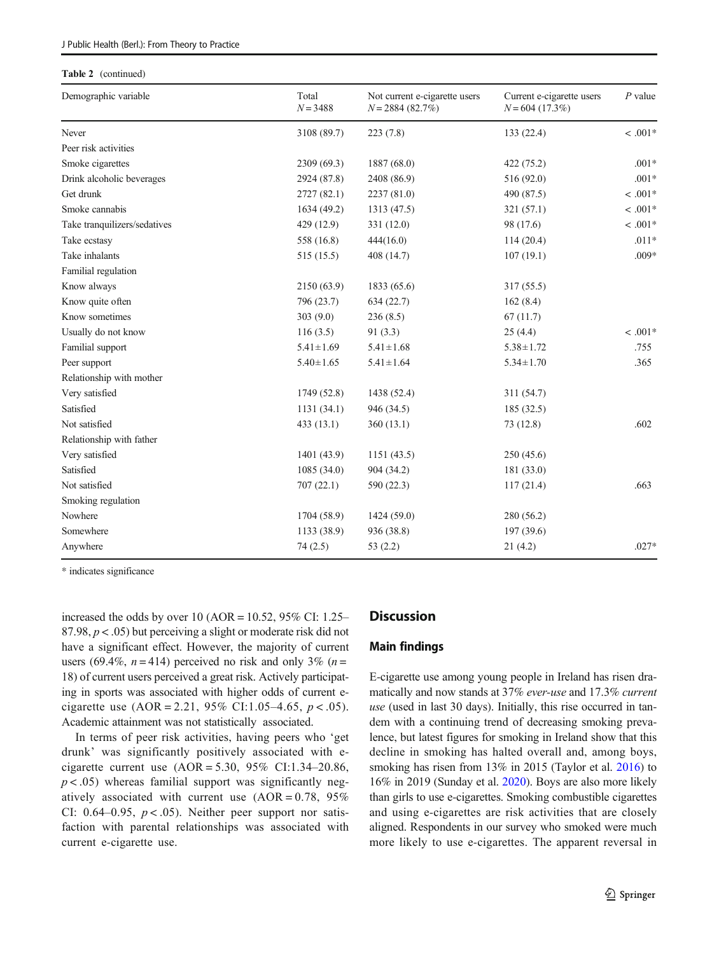#### Table 2 (continued)

| Demographic variable         | Total<br>$N = 3488$ | Not current e-cigarette users<br>$N = 2884(82.7%)$ | Current e-cigarette users<br>$N = 604(17.3\%)$ | $P$ value |
|------------------------------|---------------------|----------------------------------------------------|------------------------------------------------|-----------|
| Never                        | 3108 (89.7)         | 223(7.8)                                           | 133 (22.4)                                     | $< .001*$ |
| Peer risk activities         |                     |                                                    |                                                |           |
| Smoke cigarettes             | 2309 (69.3)         | 1887 (68.0)                                        | 422 (75.2)                                     | $.001*$   |
| Drink alcoholic beverages    | 2924 (87.8)         | 2408 (86.9)                                        | 516 (92.0)                                     | $.001*$   |
| Get drunk                    | 2727 (82.1)         | 2237 (81.0)                                        | 490 (87.5)                                     | $< .001*$ |
| Smoke cannabis               | 1634(49.2)          | 1313 (47.5)                                        | 321(57.1)                                      | $< .001*$ |
| Take tranquilizers/sedatives | 429 (12.9)          | 331 (12.0)                                         | 98 (17.6)                                      | $< .001*$ |
| Take ecstasy                 | 558 (16.8)          | 444(16.0)                                          | 114(20.4)                                      | $.011*$   |
| Take inhalants               | 515 (15.5)          | 408 (14.7)                                         | 107(19.1)                                      | $.009*$   |
| Familial regulation          |                     |                                                    |                                                |           |
| Know always                  | 2150 (63.9)         | 1833 (65.6)                                        | 317(55.5)                                      |           |
| Know quite often             | 796 (23.7)          | 634(22.7)                                          | 162(8.4)                                       |           |
| Know sometimes               | 303(9.0)            | 236(8.5)                                           | 67(11.7)                                       |           |
| Usually do not know          | 116(3.5)            | 91(3.3)                                            | 25(4.4)                                        | $< .001*$ |
| Familial support             | $5.41 \pm 1.69$     | $5.41 \pm 1.68$                                    | $5.38 \pm 1.72$                                | .755      |
| Peer support                 | $5.40 \pm 1.65$     | $5.41 \pm 1.64$                                    | $5.34 \pm 1.70$                                | .365      |
| Relationship with mother     |                     |                                                    |                                                |           |
| Very satisfied               | 1749 (52.8)         | 1438 (52.4)                                        | 311 (54.7)                                     |           |
| Satisfied                    | 1131(34.1)          | 946 (34.5)                                         | 185 (32.5)                                     |           |
| Not satisfied                | 433 (13.1)          | 360(13.1)                                          | 73 (12.8)                                      | .602      |
| Relationship with father     |                     |                                                    |                                                |           |
| Very satisfied               | 1401 (43.9)         | 1151(43.5)                                         | 250 (45.6)                                     |           |
| Satisfied                    | 1085(34.0)          | 904 (34.2)                                         | 181 (33.0)                                     |           |
| Not satisfied                | 707(22.1)           | 590 (22.3)                                         | 117(21.4)                                      | .663      |
| Smoking regulation           |                     |                                                    |                                                |           |
| Nowhere                      | 1704 (58.9)         | 1424 (59.0)                                        | 280 (56.2)                                     |           |
| Somewhere                    | 1133 (38.9)         | 936 (38.8)                                         | 197 (39.6)                                     |           |
| Anywhere                     | 74(2.5)             | 53(2.2)                                            | 21(4.2)                                        | $.027*$   |

\* indicates significance

increased the odds by over  $10 (AOR = 10.52, 95\% \text{ CI: } 1.25-$ 87.98,  $p < .05$ ) but perceiving a slight or moderate risk did not have a significant effect. However, the majority of current users (69.4%,  $n = 414$ ) perceived no risk and only 3% ( $n =$ 18) of current users perceived a great risk. Actively participating in sports was associated with higher odds of current ecigarette use  $(AOR = 2.21, 95\% \text{ CI}: 1.05-4.65, p < .05)$ . Academic attainment was not statistically associated.

In terms of peer risk activities, having peers who 'get drunk' was significantly positively associated with ecigarette current use (AOR = 5.30, 95% CI:1.34–20.86,  $p < .05$ ) whereas familial support was significantly negatively associated with current use  $(AOR = 0.78, 95\%)$ CI: 0.64–0.95,  $p < .05$ ). Neither peer support nor satisfaction with parental relationships was associated with current e-cigarette use.

#### **Discussion**

#### Main findings

E-cigarette use among young people in Ireland has risen dramatically and now stands at 37% ever-use and 17.3% current use (used in last 30 days). Initially, this rise occurred in tandem with a continuing trend of decreasing smoking prevalence, but latest figures for smoking in Ireland show that this decline in smoking has halted overall and, among boys, smoking has risen from 13% in 2015 (Taylor et al. [2016](#page-12-0)) to 16% in 2019 (Sunday et al. [2020\)](#page-12-0). Boys are also more likely than girls to use e-cigarettes. Smoking combustible cigarettes and using e-cigarettes are risk activities that are closely aligned. Respondents in our survey who smoked were much more likely to use e-cigarettes. The apparent reversal in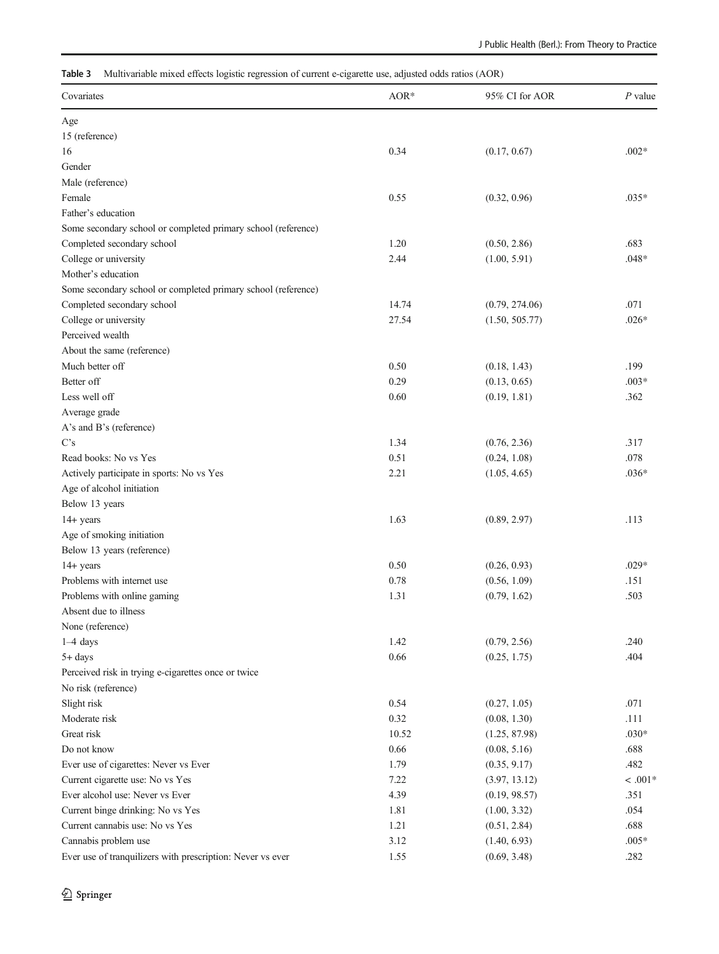<span id="page-8-0"></span>Table 3 Multivariable mixed effects logistic regression of current e-cigarette use, adjusted odds ratios (AOR)

| Covariates                                                    | $AOR*$ | 95% CI for AOR | $P$ value         |
|---------------------------------------------------------------|--------|----------------|-------------------|
| Age                                                           |        |                |                   |
| 15 (reference)                                                |        |                |                   |
| 16                                                            | 0.34   | (0.17, 0.67)   | $.002*$           |
| Gender                                                        |        |                |                   |
| Male (reference)                                              |        |                |                   |
| Female                                                        | 0.55   | (0.32, 0.96)   | $.035*$           |
| Father's education                                            |        |                |                   |
| Some secondary school or completed primary school (reference) |        |                |                   |
| Completed secondary school                                    | 1.20   | (0.50, 2.86)   | .683              |
| College or university                                         | 2.44   | (1.00, 5.91)   | $.048*$           |
| Mother's education                                            |        |                |                   |
| Some secondary school or completed primary school (reference) |        |                |                   |
| Completed secondary school                                    | 14.74  | (0.79, 274.06) | .071              |
| College or university                                         | 27.54  | (1.50, 505.77) | $.026*$           |
| Perceived wealth                                              |        |                |                   |
| About the same (reference)                                    |        |                |                   |
| Much better off                                               | 0.50   | (0.18, 1.43)   | .199              |
| Better off                                                    | 0.29   | (0.13, 0.65)   | $.003*$           |
| Less well off                                                 | 0.60   | (0.19, 1.81)   | .362              |
| Average grade                                                 |        |                |                   |
| A's and B's (reference)                                       |        |                |                   |
| C <sub>s</sub>                                                | 1.34   | (0.76, 2.36)   | .317              |
| Read books: No vs Yes                                         | 0.51   | (0.24, 1.08)   | .078              |
| Actively participate in sports: No vs Yes                     | 2.21   | (1.05, 4.65)   | $.036*$           |
| Age of alcohol initiation                                     |        |                |                   |
| Below 13 years                                                |        |                |                   |
| $14+$ years                                                   | 1.63   | (0.89, 2.97)   | .113              |
| Age of smoking initiation                                     |        |                |                   |
| Below 13 years (reference)                                    |        |                |                   |
| 14+ years                                                     | 0.50   | (0.26, 0.93)   | $.029*$           |
| Problems with internet use                                    | 0.78   | (0.56, 1.09)   | .151              |
| Problems with online gaming                                   | 1.31   | (0.79, 1.62)   | .503              |
| Absent due to illness                                         |        |                |                   |
| None (reference)                                              |        |                |                   |
| $1-4$ days                                                    | 1.42   | (0.79, 2.56)   | .240              |
| 5+ days                                                       | 0.66   | (0.25, 1.75)   | .404              |
| Perceived risk in trying e-cigarettes once or twice           |        |                |                   |
| No risk (reference)                                           |        |                |                   |
| Slight risk                                                   | 0.54   | (0.27, 1.05)   | .071              |
| Moderate risk                                                 | 0.32   | (0.08, 1.30)   | .111              |
| Great risk                                                    | 10.52  | (1.25, 87.98)  | $.030*$           |
| Do not know                                                   | 0.66   | (0.08, 5.16)   | .688              |
| Ever use of cigarettes: Never vs Ever                         | 1.79   | (0.35, 9.17)   | .482              |
| Current cigarette use: No vs Yes                              | 7.22   | (3.97, 13.12)  | $<.001\mathrm{*}$ |
| Ever alcohol use: Never vs Ever                               | 4.39   | (0.19, 98.57)  | .351              |
| Current binge drinking: No vs Yes                             | 1.81   | (1.00, 3.32)   | .054              |
| Current cannabis use: No vs Yes                               | 1.21   | (0.51, 2.84)   | .688              |
| Cannabis problem use                                          | 3.12   | (1.40, 6.93)   | $.005*$           |
| Ever use of tranquilizers with prescription: Never vs ever    | 1.55   | (0.69, 3.48)   | .282              |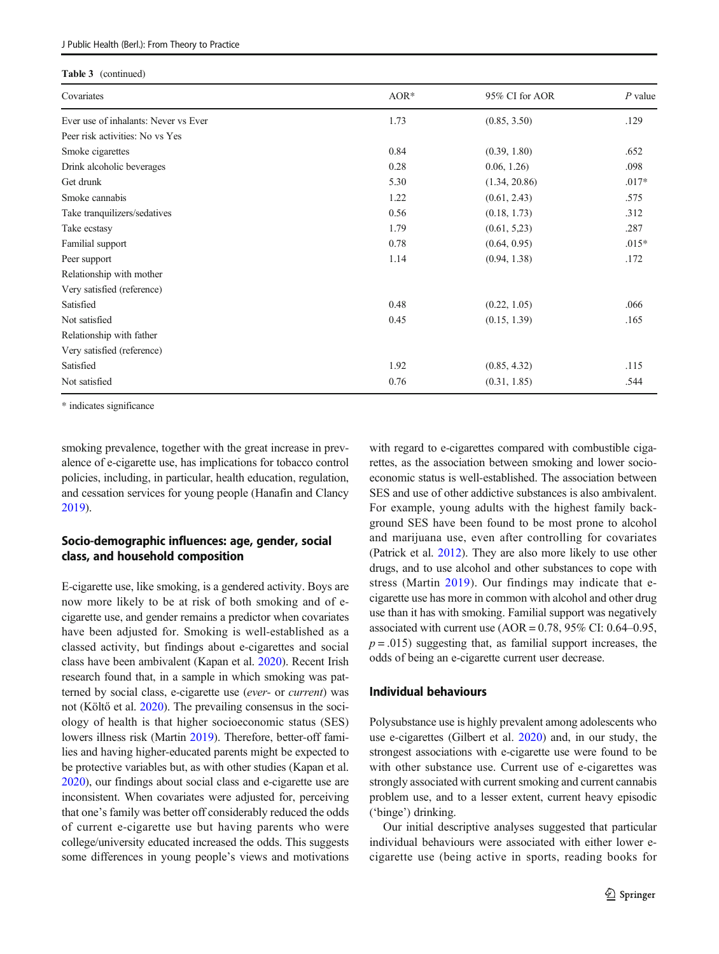$T = \frac{1}{2}$ 

| <b>rapie <math>\sigma</math></b> (continued) |        |                |           |  |  |
|----------------------------------------------|--------|----------------|-----------|--|--|
| Covariates                                   | $AOR*$ | 95% CI for AOR | $P$ value |  |  |
| Ever use of inhalants: Never vs Ever         | 1.73   | (0.85, 3.50)   | .129      |  |  |
| Peer risk activities: No vs Yes              |        |                |           |  |  |
| Smoke cigarettes                             | 0.84   | (0.39, 1.80)   | .652      |  |  |
| Drink alcoholic beverages                    | 0.28   | 0.06, 1.26     | .098      |  |  |
| Get drunk                                    | 5.30   | (1.34, 20.86)  | $.017*$   |  |  |
| Smoke cannabis                               | 1.22   | (0.61, 2.43)   | .575      |  |  |
| Take tranquilizers/sedatives                 | 0.56   | (0.18, 1.73)   | .312      |  |  |
| Take ecstasy                                 | 1.79   | (0.61, 5,23)   | .287      |  |  |
| Familial support                             | 0.78   | (0.64, 0.95)   | $.015*$   |  |  |
| Peer support                                 | 1.14   | (0.94, 1.38)   | .172      |  |  |
| Relationship with mother                     |        |                |           |  |  |
| Very satisfied (reference)                   |        |                |           |  |  |
| Satisfied                                    | 0.48   | (0.22, 1.05)   | .066      |  |  |
| Not satisfied                                | 0.45   | (0.15, 1.39)   | .165      |  |  |
| Relationship with father                     |        |                |           |  |  |
| Very satisfied (reference)                   |        |                |           |  |  |
| Satisfied                                    | 1.92   | (0.85, 4.32)   | .115      |  |  |
| Not satisfied                                | 0.76   | (0.31, 1.85)   | .544      |  |  |

\* indicates significance

smoking prevalence, together with the great increase in prevalence of e-cigarette use, has implications for tobacco control policies, including, in particular, health education, regulation, and cessation services for young people (Hanafin and Clancy [2019\)](#page-12-0).

# Socio-demographic influences: age, gender, social class, and household composition

E-cigarette use, like smoking, is a gendered activity. Boys are now more likely to be at risk of both smoking and of ecigarette use, and gender remains a predictor when covariates have been adjusted for. Smoking is well-established as a classed activity, but findings about e-cigarettes and social class have been ambivalent (Kapan et al. [2020](#page-12-0)). Recent Irish research found that, in a sample in which smoking was patterned by social class, e-cigarette use (ever- or current) was not (Költő et al. [2020](#page-12-0)). The prevailing consensus in the sociology of health is that higher socioeconomic status (SES) lowers illness risk (Martin [2019](#page-12-0)). Therefore, better-off families and having higher-educated parents might be expected to be protective variables but, as with other studies (Kapan et al. [2020\)](#page-12-0), our findings about social class and e-cigarette use are inconsistent. When covariates were adjusted for, perceiving that one's family was better off considerably reduced the odds of current e-cigarette use but having parents who were college/university educated increased the odds. This suggests some differences in young people's views and motivations with regard to e-cigarettes compared with combustible cigarettes, as the association between smoking and lower socioeconomic status is well-established. The association between SES and use of other addictive substances is also ambivalent. For example, young adults with the highest family background SES have been found to be most prone to alcohol and marijuana use, even after controlling for covariates (Patrick et al. [2012](#page-12-0)). They are also more likely to use other drugs, and to use alcohol and other substances to cope with stress (Martin [2019\)](#page-12-0). Our findings may indicate that ecigarette use has more in common with alcohol and other drug use than it has with smoking. Familial support was negatively associated with current use  $(AOR = 0.78, 95\% \text{ CI: } 0.64-0.95,$  $p = .015$ ) suggesting that, as familial support increases, the odds of being an e-cigarette current user decrease.

# Individual behaviours

Polysubstance use is highly prevalent among adolescents who use e-cigarettes (Gilbert et al. [2020](#page-11-0)) and, in our study, the strongest associations with e-cigarette use were found to be with other substance use. Current use of e-cigarettes was strongly associated with current smoking and current cannabis problem use, and to a lesser extent, current heavy episodic ('binge') drinking.

Our initial descriptive analyses suggested that particular individual behaviours were associated with either lower ecigarette use (being active in sports, reading books for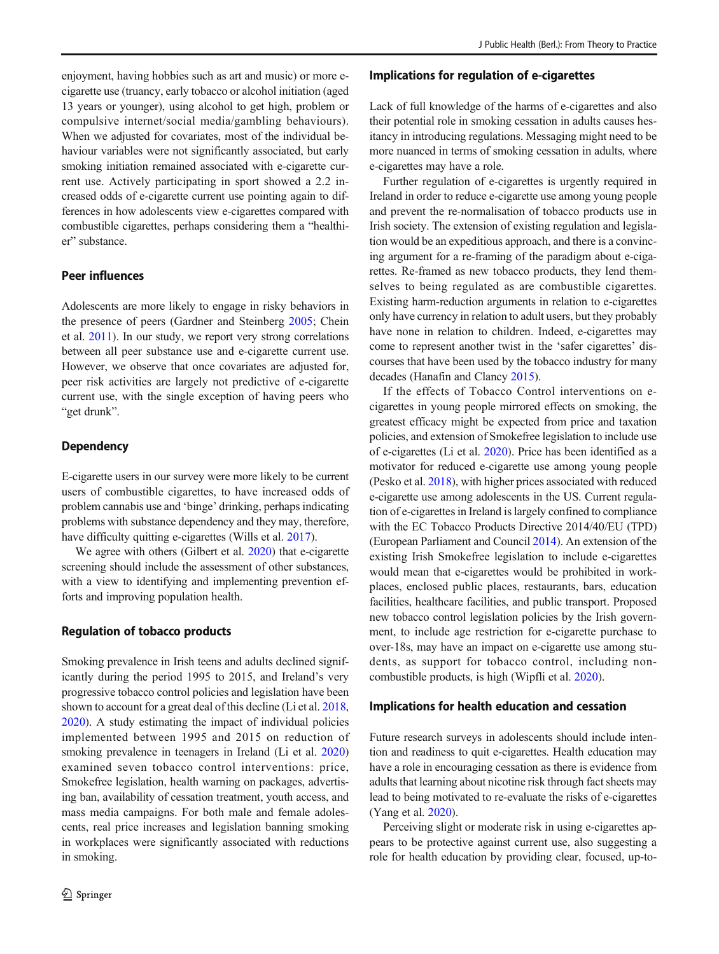enjoyment, having hobbies such as art and music) or more ecigarette use (truancy, early tobacco or alcohol initiation (aged 13 years or younger), using alcohol to get high, problem or compulsive internet/social media/gambling behaviours). When we adjusted for covariates, most of the individual behaviour variables were not significantly associated, but early smoking initiation remained associated with e-cigarette current use. Actively participating in sport showed a 2.2 increased odds of e-cigarette current use pointing again to differences in how adolescents view e-cigarettes compared with combustible cigarettes, perhaps considering them a "healthier" substance.

# Peer influences

Adolescents are more likely to engage in risky behaviors in the presence of peers (Gardner and Steinberg [2005](#page-11-0); Chein et al. [2011](#page-11-0)). In our study, we report very strong correlations between all peer substance use and e-cigarette current use. However, we observe that once covariates are adjusted for, peer risk activities are largely not predictive of e-cigarette current use, with the single exception of having peers who "get drunk".

# **Dependency**

E-cigarette users in our survey were more likely to be current users of combustible cigarettes, to have increased odds of problem cannabis use and 'binge' drinking, perhaps indicating problems with substance dependency and they may, therefore, have difficulty quitting e-cigarettes (Wills et al. [2017](#page-12-0)).

We agree with others (Gilbert et al. [2020](#page-11-0)) that e-cigarette screening should include the assessment of other substances, with a view to identifying and implementing prevention efforts and improving population health.

# Regulation of tobacco products

Smoking prevalence in Irish teens and adults declined significantly during the period 1995 to 2015, and Ireland's very progressive tobacco control policies and legislation have been shown to account for a great deal of this decline (Li et al. [2018,](#page-12-0) [2020\)](#page-12-0). A study estimating the impact of individual policies implemented between 1995 and 2015 on reduction of smoking prevalence in teenagers in Ireland (Li et al. [2020\)](#page-12-0) examined seven tobacco control interventions: price, Smokefree legislation, health warning on packages, advertising ban, availability of cessation treatment, youth access, and mass media campaigns. For both male and female adolescents, real price increases and legislation banning smoking in workplaces were significantly associated with reductions in smoking.

#### Implications for regulation of e-cigarettes

Lack of full knowledge of the harms of e-cigarettes and also their potential role in smoking cessation in adults causes hesitancy in introducing regulations. Messaging might need to be more nuanced in terms of smoking cessation in adults, where e-cigarettes may have a role.

Further regulation of e-cigarettes is urgently required in Ireland in order to reduce e-cigarette use among young people and prevent the re-normalisation of tobacco products use in Irish society. The extension of existing regulation and legislation would be an expeditious approach, and there is a convincing argument for a re-framing of the paradigm about e-cigarettes. Re-framed as new tobacco products, they lend themselves to being regulated as are combustible cigarettes. Existing harm-reduction arguments in relation to e-cigarettes only have currency in relation to adult users, but they probably have none in relation to children. Indeed, e-cigarettes may come to represent another twist in the 'safer cigarettes' discourses that have been used by the tobacco industry for many decades (Hanafin and Clancy [2015\)](#page-12-0).

If the effects of Tobacco Control interventions on ecigarettes in young people mirrored effects on smoking, the greatest efficacy might be expected from price and taxation policies, and extension of Smokefree legislation to include use of e-cigarettes (Li et al. [2020\)](#page-12-0). Price has been identified as a motivator for reduced e-cigarette use among young people (Pesko et al. [2018](#page-12-0)), with higher prices associated with reduced e-cigarette use among adolescents in the US. Current regulation of e-cigarettes in Ireland is largely confined to compliance with the EC Tobacco Products Directive 2014/40/EU (TPD) (European Parliament and Council [2014](#page-11-0)). An extension of the existing Irish Smokefree legislation to include e-cigarettes would mean that e-cigarettes would be prohibited in workplaces, enclosed public places, restaurants, bars, education facilities, healthcare facilities, and public transport. Proposed new tobacco control legislation policies by the Irish government, to include age restriction for e-cigarette purchase to over-18s, may have an impact on e-cigarette use among students, as support for tobacco control, including noncombustible products, is high (Wipfli et al. [2020](#page-12-0)).

#### Implications for health education and cessation

Future research surveys in adolescents should include intention and readiness to quit e-cigarettes. Health education may have a role in encouraging cessation as there is evidence from adults that learning about nicotine risk through fact sheets may lead to being motivated to re-evaluate the risks of e-cigarettes (Yang et al. [2020](#page-12-0)).

Perceiving slight or moderate risk in using e-cigarettes appears to be protective against current use, also suggesting a role for health education by providing clear, focused, up-to-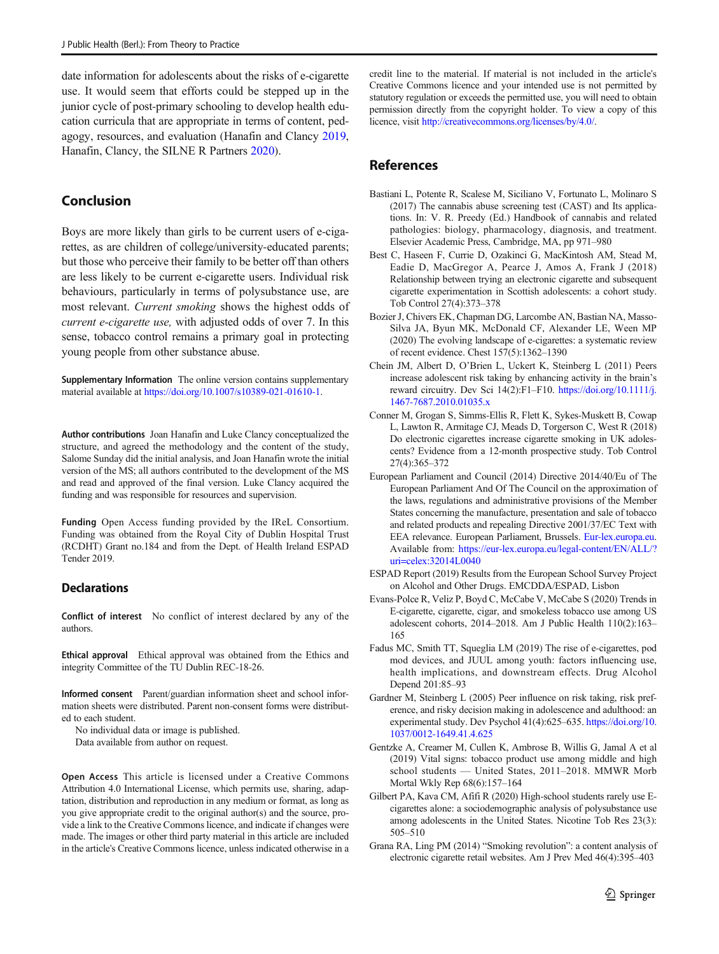<span id="page-11-0"></span>date information for adolescents about the risks of e-cigarette use. It would seem that efforts could be stepped up in the junior cycle of post-primary schooling to develop health education curricula that are appropriate in terms of content, pedagogy, resources, and evaluation (Hanafin and Clancy [2019,](#page-12-0) Hanafin, Clancy, the SILNE R Partners [2020](#page-12-0)).

# Conclusion

Boys are more likely than girls to be current users of e-cigarettes, as are children of college/university-educated parents; but those who perceive their family to be better off than others are less likely to be current e-cigarette users. Individual risk behaviours, particularly in terms of polysubstance use, are most relevant. Current smoking shows the highest odds of current e-cigarette use, with adjusted odds of over 7. In this sense, tobacco control remains a primary goal in protecting young people from other substance abuse.

Supplementary Information The online version contains supplementary material available at <https://doi.org/10.1007/s10389-021-01610-1>.

Author contributions Joan Hanafin and Luke Clancy conceptualized the structure, and agreed the methodology and the content of the study, Salome Sunday did the initial analysis, and Joan Hanafin wrote the initial version of the MS; all authors contributed to the development of the MS and read and approved of the final version. Luke Clancy acquired the funding and was responsible for resources and supervision.

Funding Open Access funding provided by the IReL Consortium. Funding was obtained from the Royal City of Dublin Hospital Trust (RCDHT) Grant no.184 and from the Dept. of Health Ireland ESPAD Tender 2019.

#### **Declarations**

Conflict of interest No conflict of interest declared by any of the authors.

Ethical approval Ethical approval was obtained from the Ethics and integrity Committee of the TU Dublin REC-18-26.

Informed consent Parent/guardian information sheet and school information sheets were distributed. Parent non-consent forms were distributed to each student.

No individual data or image is published.

Data available from author on request.

Open Access This article is licensed under a Creative Commons Attribution 4.0 International License, which permits use, sharing, adaptation, distribution and reproduction in any medium or format, as long as you give appropriate credit to the original author(s) and the source, provide a link to the Creative Commons licence, and indicate if changes were made. The images or other third party material in this article are included in the article's Creative Commons licence, unless indicated otherwise in a credit line to the material. If material is not included in the article's Creative Commons licence and your intended use is not permitted by statutory regulation or exceeds the permitted use, you will need to obtain permission directly from the copyright holder. To view a copy of this licence, visit <http://creativecommons.org/licenses/by/4.0/>.

# References

- Bastiani L, Potente R, Scalese M, Siciliano V, Fortunato L, Molinaro S (2017) The cannabis abuse screening test (CAST) and Its applications. In: V. R. Preedy (Ed.) Handbook of cannabis and related pathologies: biology, pharmacology, diagnosis, and treatment. Elsevier Academic Press, Cambridge, MA, pp 971–980
- Best C, Haseen F, Currie D, Ozakinci G, MacKintosh AM, Stead M, Eadie D, MacGregor A, Pearce J, Amos A, Frank J (2018) Relationship between trying an electronic cigarette and subsequent cigarette experimentation in Scottish adolescents: a cohort study. Tob Control 27(4):373–378
- Bozier J, Chivers EK, Chapman DG, Larcombe AN, Bastian NA, Masso-Silva JA, Byun MK, McDonald CF, Alexander LE, Ween MP (2020) The evolving landscape of e-cigarettes: a systematic review of recent evidence. Chest 157(5):1362–1390
- Chein JM, Albert D, O'Brien L, Uckert K, Steinberg L (2011) Peers increase adolescent risk taking by enhancing activity in the brain's reward circuitry. Dev Sci 14(2):F1–F10. [https://doi.org/10.1111/j.](https://doi.org/10.1111/j.1467-7687.2010.01035.x) [1467-7687.2010.01035.x](https://doi.org/10.1111/j.1467-7687.2010.01035.x)
- Conner M, Grogan S, Simms-Ellis R, Flett K, Sykes-Muskett B, Cowap L, Lawton R, Armitage CJ, Meads D, Torgerson C, West R (2018) Do electronic cigarettes increase cigarette smoking in UK adolescents? Evidence from a 12-month prospective study. Tob Control 27(4):365–372
- European Parliament and Council (2014) Directive 2014/40/Eu of The European Parliament And Of The Council on the approximation of the laws, regulations and administrative provisions of the Member States concerning the manufacture, presentation and sale of tobacco and related products and repealing Directive 2001/37/EC Text with EEA relevance. European Parliament, Brussels. [Eur-lex.europa.eu](http://lex.europa.eu). Available from: [https://eur-lex.europa.eu/legal-content/EN/ALL/?](https://eur-lex.europa.eu/legal-content/EN/ALL/?uri=celex:32014L0040) [uri=celex:32014L0040](https://eur-lex.europa.eu/legal-content/EN/ALL/?uri=celex:32014L0040)
- ESPAD Report (2019) Results from the European School Survey Project on Alcohol and Other Drugs. EMCDDA/ESPAD, Lisbon
- Evans-Polce R, Veliz P, Boyd C, McCabe V, McCabe S (2020) Trends in E-cigarette, cigarette, cigar, and smokeless tobacco use among US adolescent cohorts, 2014–2018. Am J Public Health 110(2):163– 165
- Fadus MC, Smith TT, Squeglia LM (2019) The rise of e-cigarettes, pod mod devices, and JUUL among youth: factors influencing use, health implications, and downstream effects. Drug Alcohol Depend 201:85–93
- Gardner M, Steinberg L (2005) Peer influence on risk taking, risk preference, and risky decision making in adolescence and adulthood: an experimental study. Dev Psychol 41(4):625–635. [https://doi.org/10.](https://doi.org/10.1037/0012-1649.41.4.625) [1037/0012-1649.41.4.625](https://doi.org/10.1037/0012-1649.41.4.625)
- Gentzke A, Creamer M, Cullen K, Ambrose B, Willis G, Jamal A et al (2019) Vital signs: tobacco product use among middle and high school students — United States, 2011–2018. MMWR Morb Mortal Wkly Rep 68(6):157–164
- Gilbert PA, Kava CM, Afifi R (2020) High-school students rarely use Ecigarettes alone: a sociodemographic analysis of polysubstance use among adolescents in the United States. Nicotine Tob Res 23(3): 505–510
- Grana RA, Ling PM (2014) "Smoking revolution": a content analysis of electronic cigarette retail websites. Am J Prev Med 46(4):395–403